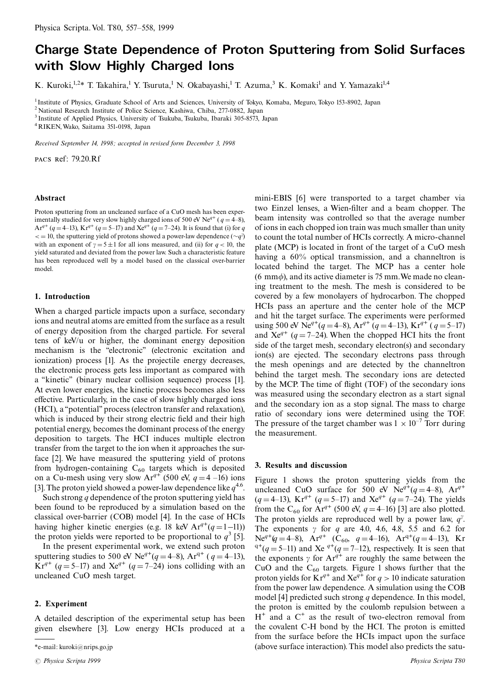# **Charge State Dependence of Proton Sputtering from Solid Surfaces** with Slow Highly Charged Ions

K. Kuroki,<sup>1,2\*</sup> T. Takahira,<sup>1</sup> Y. Tsuruta,<sup>1</sup> N. Okabayashi,<sup>1</sup> T. Azuma,<sup>3</sup> K. Komaki<sup>1</sup> and Y. Yamazaki<sup>1,4</sup>

<sup>1</sup> Institute of Physics, Graduate School of Arts and Sciences, University of Tokyo, Komaba, Meguro, Tokyo 153-8902, Japan

<sup>2</sup> National Research Institute of Police Science, Kashiwa, Chiba, 277-0882, Japan

 $^3$  Institute of Applied Physics, University of Tsukuba, Tsukuba, Ibaraki 305-8573, Japan

<sup>4</sup> RIKEN, Wako, Saitama 351-0198, Japan

Received September 14, 1998; accepted in revised form December 3, 1998

PACS Ref: 79.20.Rf

#### Abstract

Proton sputtering from an uncleaned surface of a CuO mesh has been experimentally studied for very slow highly charged ions of 500 eV Ne<sup> $q+q$ </sup> ( $q = 4-8$ ), Ar<sup>q+</sup> (q = 4–13), Kr<sup>q+</sup> (q = 5–17) and Xe<sup>q+</sup> (q = 7–24). It is found that (i) for q  $\epsilon = 10$ , the sputtering yield of protons showed a power-law dependence  $(\sim q^{\gamma})$ with an exponent of  $\gamma = 5 \pm 1$  for all ions measured, and (ii) for  $q < 10$ , the yield saturated and deviated from the power law. Such a characteristic feature has been reproduced well by a model based on the classical over-barrier model

## 1. Introduction

When a charged particle impacts upon a surface, secondary ions and neutral atoms are emitted from the surface as a result of energy deposition from the charged particle. For several tens of keV/u or higher, the dominant energy deposition mechanism is the "electronic" (electronic excitation and ionization) process [1]. As the projectile energy decreases, the electronic process gets less important as compared with a "kinetic" (binary nuclear collision sequence) process [1]. At even lower energies, the kinetic process becomes also less effective. Particularly, in the case of slow highly charged ions (HCI), a "potential" process (electron transfer and relaxation), which is induced by their strong electric field and their high potential energy, becomes the dominant process of the energy deposition to targets. The HCI induces multiple electron transfer from the target to the ion when it approaches the surface [2]. We have measured the sputtering yield of protons from hydrogen-containing  $C_{60}$  targets which is deposited on a Cu-mesh using very slow  $Ar^{q+}$  (500 eV,  $q = 4$  –16) ions [3]. The proton yield showed a power-law dependence like  $q^{4.6}$ .

Such strong  $q$  dependence of the proton sputtering yield has been found to be reproduced by a simulation based on the classical over-barrier (COB) model [4]. In the case of HCIs having higher kinetic energies (e.g. 18 keV  $Ar^{q+}(q=1-11)$ ) the proton yields were reported to be proportional to  $q^3$  [5].

In the present experimental work, we extend such proton sputtering studies to 500 eV Ne<sup>q+</sup>(q = 4–8), Ar<sup>q+</sup> (q = 4–13),  $Kr^{q+}$  (q = 5–17) and  $Xe^{q+}$  (q = 7–24) ions colliding with an uncleaned CuO mesh target.

## 2. Experiment

A detailed description of the experimental setup has been given elsewhere [3]. Low energy HCIs produced at a mini-EBIS [6] were transported to a target chamber via two Einzel lenses, a Wien-filter and a beam chopper. The beam intensity was controlled so that the average number of ions in each chopped ion train was much smaller than unity to count the total number of HCIs correctly. A micro-channel plate (MCP) is located in front of the target of a CuO mesh having a  $60\%$  optical transmission, and a channel tron is located behind the target. The MCP has a center hole  $(6 \text{ mm}\phi)$ , and its active diameter is 75 mm. We made no cleaning treatment to the mesh. The mesh is considered to be covered by a few monolayers of hydrocarbon. The chopped HCIs pass an aperture and the center hole of the MCP and hit the target surface. The experiments were performed using 500 eV Ne<sup>q+</sup>(q = 4–8), Ar<sup>q+</sup> (q = 4–13), Kr<sup>q+</sup> (q = 5–17) and  $Xe^{q+}$  (q = 7-24). When the chopped HCI hits the front side of the target mesh, secondary electron(s) and secondary ion(s) are ejected. The secondary electrons pass through the mesh openings and are detected by the channeltron behind the target mesh. The secondary ions are detected by the MCP. The time of flight (TOF) of the secondary ions was measured using the secondary electron as a start signal and the secondary ion as a stop signal. The mass to charge ratio of secondary ions were determined using the TOF. The pressure of the target chamber was  $1 \times 10^{-7}$  Torr during the measurement.

## 3. Results and discussion

Figure 1 shows the proton sputtering yields from the uncleaned CuO surface for 500 eV  $Ne^{q+}(q=4-8)$ .  $Ar^{q+}$  $(q=4-13)$ , Kr<sup>q+</sup>  $(q=5-17)$  and Xe<sup>q+</sup>  $(q=7-24)$ . The yields from the C<sub>60</sub> for  $Ar^{q+}$  (500 eV,  $q = 4{\text{--}}16$ ) [3] are also plotted. The proton yields are reproduced well by a power law,  $q^{\gamma}$ . The exponents  $\gamma$  for q are 4.0, 4.6, 4.8, 5.5 and 6.2 for<br>Ne<sup>q+</sup>(q = 4–8), Ar<sup>q+</sup> (C<sub>60</sub>, q = 4–16), Ar<sup>q+</sup>(q = 4–13), Kr  $q^+(q=5-11)$  and Xe  $q^+(q=7-12)$ , respectively. It is seen that the exponents  $\gamma$  for Ar<sup>q+</sup> are roughly the same between the CuO and the  $C_{60}$  targets. Figure 1 shows further that the proton yields for  $Kr^{q+}$  and  $Xe^{q+}$  for  $q > 10$  indicate saturation from the power law dependence. A simulation using the COB model [4] predicted such strong  $q$  dependence. In this model, the proton is emitted by the coulomb repulsion between a  $H^+$  and a  $C^+$  as the result of two-electron removal from the covalent C-H bond by the HCI. The proton is emitted from the surface before the HCIs impact upon the surface (above surface interaction). This model also predicts the satu-

<sup>\*</sup>e-mail: kuroki@nrips.go.jp